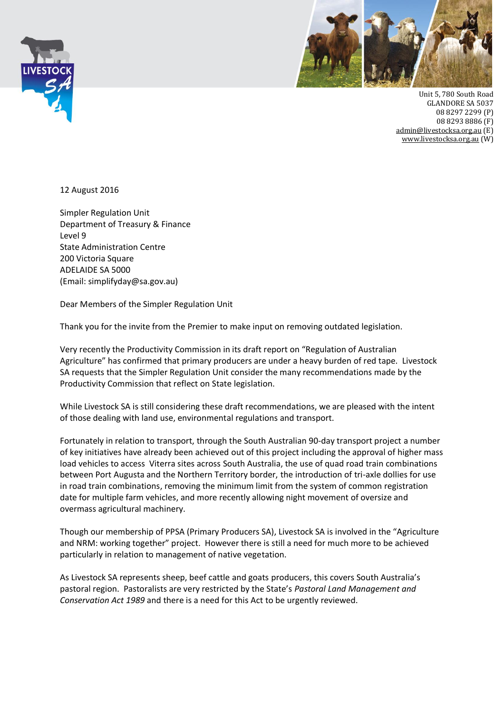



Unit 5, 780 South Road GLANDORE SA 5037 08 8297 2299 (P) 08 8293 8886 (F) [admin@livestocksa.org.au](mailto:admin@livestocksa.org.au) (E) [www.livestocksa.org.au](http://www.livestocksa.org.au/) (W)

12 August 2016

Simpler Regulation Unit Department of Treasury & Finance Level 9 State Administration Centre 200 Victoria Square ADELAIDE SA 5000 (Email: simplifyday@sa.gov.au)

Dear Members of the Simpler Regulation Unit

Thank you for the invite from the Premier to make input on removing outdated legislation.

Very recently the Productivity Commission in its draft report on "Regulation of Australian Agriculture" has confirmed that primary producers are under a heavy burden of red tape. Livestock SA requests that the Simpler Regulation Unit consider the many recommendations made by the Productivity Commission that reflect on State legislation.

While Livestock SA is still considering these draft recommendations, we are pleased with the intent of those dealing with land use, environmental regulations and transport.

Fortunately in relation to transport, through the South Australian 90-day transport project a number of key initiatives have already been achieved out of this project including the approval of higher mass load vehicles to access Viterra sites across South Australia, the use of quad road train combinations between Port Augusta and the Northern Territory border, the introduction of tri-axle dollies for use in road train combinations, removing the minimum limit from the system of common registration date for multiple farm vehicles, and more recently allowing night movement of oversize and overmass agricultural machinery.

Though our membership of PPSA (Primary Producers SA), Livestock SA is involved in the "Agriculture and NRM: working together" project. However there is still a need for much more to be achieved particularly in relation to management of native vegetation.

As Livestock SA represents sheep, beef cattle and goats producers, this covers South Australia's pastoral region. Pastoralists are very restricted by the State's *Pastoral Land Management and Conservation Act 1989* and there is a need for this Act to be urgently reviewed.